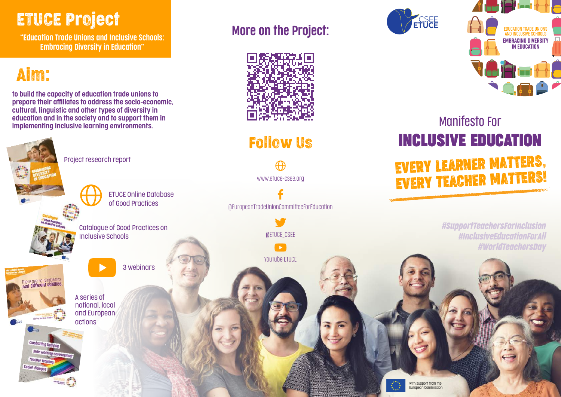### ETUCE Project

More on the Project: "Education Trade Unions and Inclusive Schools: Embracing Diversity in Education"

## Aim:

social dia

to build the capacity of education trade unions to prepare their affiliates to address the socio-economic, cultural, linguistic and other types of diversity in education and in the society and to support them in implementing inclusive learning environments.

[P](https://www.csee-etuce.org/en/resources/publications/4211-embracing-diversity-in-education-2021)roject research report

Catalogue of Good Practices on

ETUCE Online Database of Good Practices

3 webinars

[In](https://www.csee-etuce.org/images/Publications/Catalogue_Inclusive_Schools-web.pdf)clusive Schools

A series of national, local and European [acti](https://www.csee-etuce.org/en/projects/education-trade-unions-and-inclusive-schools-embracing-diversity-in-education/3581-trade-union-actions-to-highlight-key-dates-regarding-equality-and-inclusion)ons



Follow Us

[www.etuce-csee.org](http://www.etuce-csee.org)

@EuropeanTradeUnionCommitteeForEducation

@ETUCE\_CSEE

 $\rightarrow$ 

YouTube ETUCE





### Manifesto For **INCLUSIVE EDUCATION** EVERY LEARNER MATTERS, EVERY TEACHER MATTERS!

*#SupportTeachersForInclusion #InclusiveEducationForAll #WorldTeachersDay*



with support from the European Commission